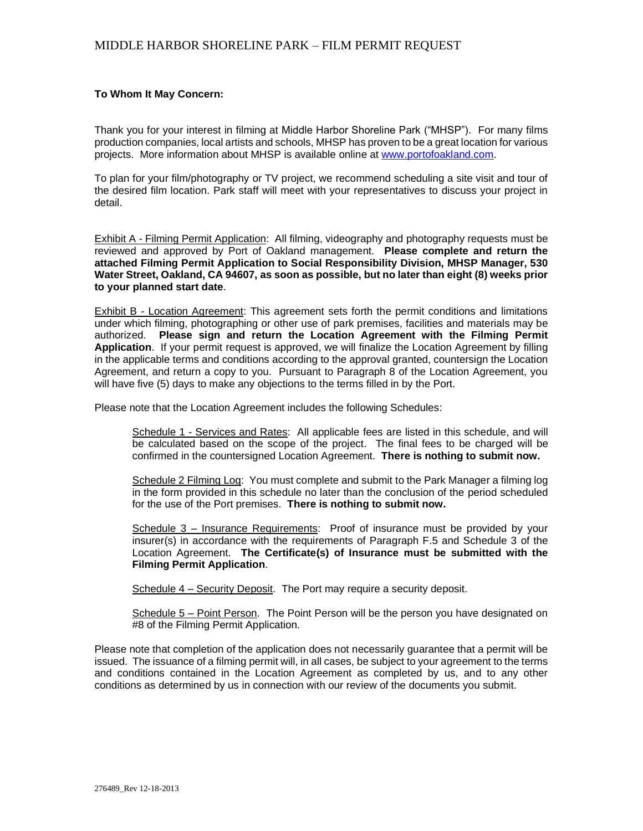#### **To Whom It May Concern:**

Thank you for your interest in filming at Middle Harbor Shoreline Park ("MHSP"). For many films production companies, local artists and schools, MHSP has proven to be a great location for various projects. More information about MHSP is available online at [www.portofoakland.com.](http://www.portofoakland.com/)

To plan for your film/photography or TV project, we recommend scheduling a site visit and tour of the desired film location. Park staff will meet with your representatives to discuss your project in detail.

Exhibit A - Filming Permit Application: All filming, videography and photography requests must be reviewed and approved by Port of Oakland management. **Please complete and return the attached Filming Permit Application to Social Responsibility Division, MHSP Manager, 530 Water Street, Oakland, CA 94607, as soon as possible, but no later than eight (8) weeks prior to your planned start date**.

Exhibit B - Location Agreement: This agreement sets forth the permit conditions and limitations under which filming, photographing or other use of park premises, facilities and materials may be authorized. **Please sign and return the Location Agreement with the Filming Permit Application**. If your permit request is approved, we will finalize the Location Agreement by filling in the applicable terms and conditions according to the approval granted, countersign the Location Agreement, and return a copy to you. Pursuant to Paragraph 8 of the Location Agreement, you will have five (5) days to make any objections to the terms filled in by the Port.

Please note that the Location Agreement includes the following Schedules:

Schedule 1 - Services and Rates: All applicable fees are listed in this schedule, and will be calculated based on the scope of the project. The final fees to be charged will be confirmed in the countersigned Location Agreement. **There is nothing to submit now.**

Schedule 2 Filming Log: You must complete and submit to the Park Manager a filming log in the form provided in this schedule no later than the conclusion of the period scheduled for the use of the Port premises. **There is nothing to submit now.**

Schedule 3 – Insurance Requirements: Proof of insurance must be provided by your insurer(s) in accordance with the requirements of Paragraph F.5 and Schedule 3 of the Location Agreement. **The Certificate(s) of Insurance must be submitted with the Filming Permit Application**.

Schedule 4 – Security Deposit. The Port may require a security deposit.

Schedule 5 – Point Person. The Point Person will be the person you have designated on #8 of the Filming Permit Application.

Please note that completion of the application does not necessarily guarantee that a permit will be issued. The issuance of a filming permit will, in all cases, be subject to your agreement to the terms and conditions contained in the Location Agreement as completed by us, and to any other conditions as determined by us in connection with our review of the documents you submit.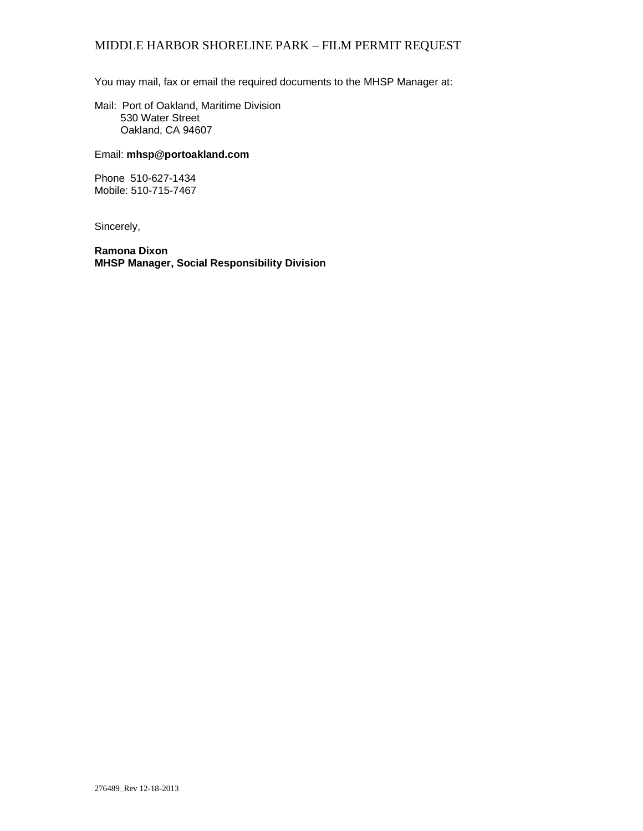You may mail, fax or email the required documents to the MHSP Manager at:

Mail: Port of Oakland, Maritime Division 530 Water Street Oakland, CA 94607

#### Email: **mhsp@portoakland.com**

Phone 510-627-1434 Mobile: 510-715-7467

Sincerely,

**Ramona Dixon MHSP Manager, Social Responsibility Division**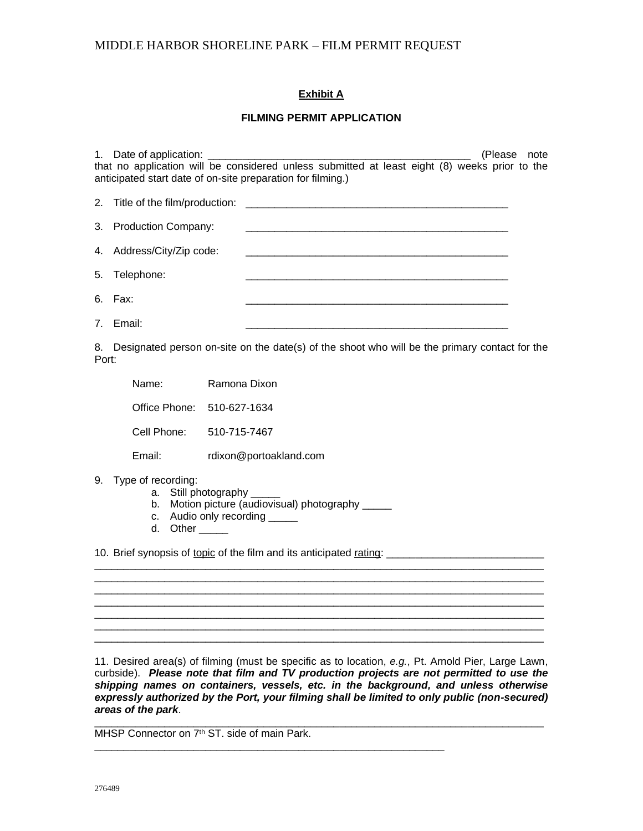### **Exhibit A**

#### **FILMING PERMIT APPLICATION**

| 1. Date of application: ____                                                                  |  |  |  | (Please note |
|-----------------------------------------------------------------------------------------------|--|--|--|--------------|
| that no application will be considered unless submitted at least eight (8) weeks prior to the |  |  |  |              |
| anticipated start date of on-site preparation for filming.)                                   |  |  |  |              |
| 2. Title of the film/production:                                                              |  |  |  |              |
| 3. Production Company:                                                                        |  |  |  |              |
| 4. Address/City/Zip code:                                                                     |  |  |  |              |
| 5. Telephone:                                                                                 |  |  |  |              |
| 6. Fax:                                                                                       |  |  |  |              |
| 7. Email:                                                                                     |  |  |  |              |

8. Designated person on-site on the date(s) of the shoot who will be the primary contact for the Port:

| Name:                      | Ramona Dixon           |
|----------------------------|------------------------|
| Office Phone: 510-627-1634 |                        |
| Cell Phone:                | 510-715-7467           |
| Email:                     | rdixon@portoakland.com |

- 9. Type of recording:
	- a. Still photography
	- b. Motion picture (audiovisual) photography \_\_\_\_

\_\_\_\_\_\_\_\_\_\_\_\_\_\_\_\_\_\_\_\_\_\_\_\_\_\_\_\_\_\_\_\_\_\_\_\_\_\_\_\_\_\_\_\_\_\_\_\_\_\_\_\_\_\_\_\_\_\_\_\_

- c. Audio only recording \_\_\_\_\_\_
- d. Other

10. Brief synopsis of topic of the film and its anticipated rating: \_\_\_\_\_\_\_\_\_\_\_\_\_\_\_\_\_\_\_\_\_\_\_\_\_\_\_

11. Desired area(s) of filming (must be specific as to location, *e.g.*, Pt. Arnold Pier, Large Lawn, curbside). *Please note that film and TV production projects are not permitted to use the shipping names on containers, vessels, etc. in the background, and unless otherwise expressly authorized by the Port, your filming shall be limited to only public (non-secured) areas of the park*.

\_\_\_\_\_\_\_\_\_\_\_\_\_\_\_\_\_\_\_\_\_\_\_\_\_\_\_\_\_\_\_\_\_\_\_\_\_\_\_\_\_\_\_\_\_\_\_\_\_\_\_\_\_\_\_\_\_\_\_\_\_\_\_\_\_\_\_\_\_\_\_\_\_\_\_\_\_ \_\_\_\_\_\_\_\_\_\_\_\_\_\_\_\_\_\_\_\_\_\_\_\_\_\_\_\_\_\_\_\_\_\_\_\_\_\_\_\_\_\_\_\_\_\_\_\_\_\_\_\_\_\_\_\_\_\_\_\_\_\_\_\_\_\_\_\_\_\_\_\_\_\_\_\_\_

 $\overline{\phantom{a}}$  ,  $\overline{\phantom{a}}$  ,  $\overline{\phantom{a}}$  ,  $\overline{\phantom{a}}$  ,  $\overline{\phantom{a}}$  ,  $\overline{\phantom{a}}$  ,  $\overline{\phantom{a}}$  ,  $\overline{\phantom{a}}$  ,  $\overline{\phantom{a}}$  ,  $\overline{\phantom{a}}$  ,  $\overline{\phantom{a}}$  ,  $\overline{\phantom{a}}$  ,  $\overline{\phantom{a}}$  ,  $\overline{\phantom{a}}$  ,  $\overline{\phantom{a}}$  ,  $\overline{\phantom{a}}$ \_\_\_\_\_\_\_\_\_\_\_\_\_\_\_\_\_\_\_\_\_\_\_\_\_\_\_\_\_\_\_\_\_\_\_\_\_\_\_\_\_\_\_\_\_\_\_\_\_\_\_\_\_\_\_\_\_\_\_\_\_\_\_\_\_\_\_\_\_\_\_\_\_\_\_\_\_

\_\_\_\_\_\_\_\_\_\_\_\_\_\_\_\_\_\_\_\_\_\_\_\_\_\_\_\_\_\_\_\_\_\_\_\_\_\_\_\_\_\_\_\_\_\_\_\_\_\_\_\_\_\_\_\_\_\_\_\_\_\_\_\_\_\_\_\_\_\_\_\_\_\_\_\_\_

\_\_\_\_\_\_\_\_\_\_\_\_\_\_\_\_\_\_\_\_\_\_\_\_\_\_\_\_\_\_\_\_\_\_\_\_\_\_\_\_\_\_\_\_\_\_\_\_\_\_\_\_\_\_\_\_\_\_\_\_\_\_\_\_\_\_\_\_\_\_\_\_\_\_\_\_\_ MHSP Connector on 7<sup>th</sup> ST. side of main Park.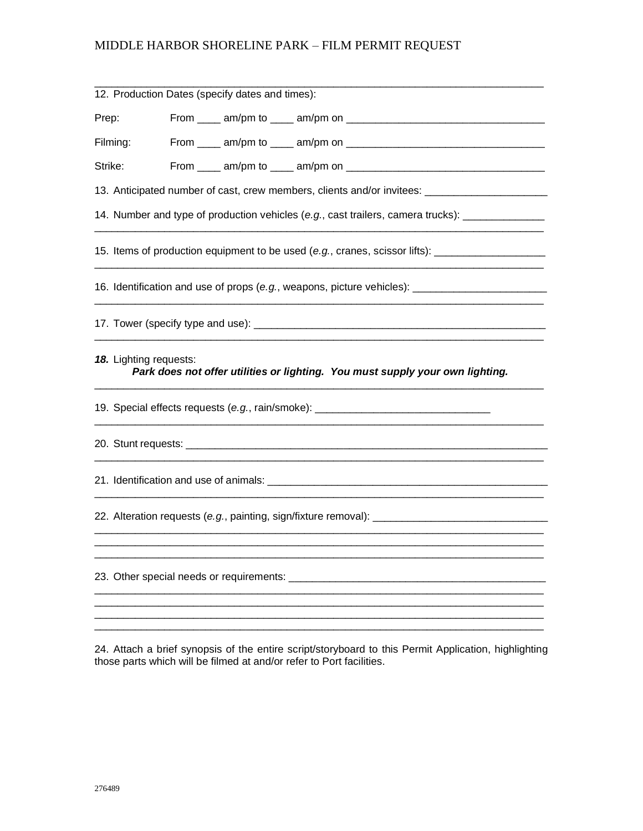|                                                                                                     |                                                                                                     | 12. Production Dates (specify dates and times): |                                                                                                     |  |  |  |
|-----------------------------------------------------------------------------------------------------|-----------------------------------------------------------------------------------------------------|-------------------------------------------------|-----------------------------------------------------------------------------------------------------|--|--|--|
| Prep:                                                                                               |                                                                                                     |                                                 |                                                                                                     |  |  |  |
| Filming:                                                                                            |                                                                                                     |                                                 |                                                                                                     |  |  |  |
| Strike:                                                                                             |                                                                                                     |                                                 |                                                                                                     |  |  |  |
|                                                                                                     | 13. Anticipated number of cast, crew members, clients and/or invitees: ____________________________ |                                                 |                                                                                                     |  |  |  |
|                                                                                                     | 14. Number and type of production vehicles (e.g., cast trailers, camera trucks): __________________ |                                                 |                                                                                                     |  |  |  |
|                                                                                                     |                                                                                                     |                                                 | 15. Items of production equipment to be used (e.g., cranes, scissor lifts): _______________________ |  |  |  |
|                                                                                                     |                                                                                                     |                                                 | 16. Identification and use of props (e.g., weapons, picture vehicles): ________________             |  |  |  |
|                                                                                                     |                                                                                                     |                                                 |                                                                                                     |  |  |  |
|                                                                                                     | 18. Lighting requests:                                                                              |                                                 | Park does not offer utilities or lighting. You must supply your own lighting.                       |  |  |  |
|                                                                                                     | 19. Special effects requests (e.g., rain/smoke): _______________________________                    |                                                 |                                                                                                     |  |  |  |
|                                                                                                     |                                                                                                     |                                                 |                                                                                                     |  |  |  |
|                                                                                                     |                                                                                                     |                                                 |                                                                                                     |  |  |  |
| 22. Alteration requests (e.g., painting, sign/fixture removal): ___________________________________ |                                                                                                     |                                                 |                                                                                                     |  |  |  |
|                                                                                                     |                                                                                                     |                                                 |                                                                                                     |  |  |  |
|                                                                                                     | 23. Other special needs or requirements: ____                                                       |                                                 |                                                                                                     |  |  |  |
|                                                                                                     |                                                                                                     |                                                 |                                                                                                     |  |  |  |
|                                                                                                     |                                                                                                     |                                                 |                                                                                                     |  |  |  |

24. Attach a brief synopsis of the entire script/storyboard to this Permit Application, highlighting those parts which will be filmed at and/or refer to Port facilities.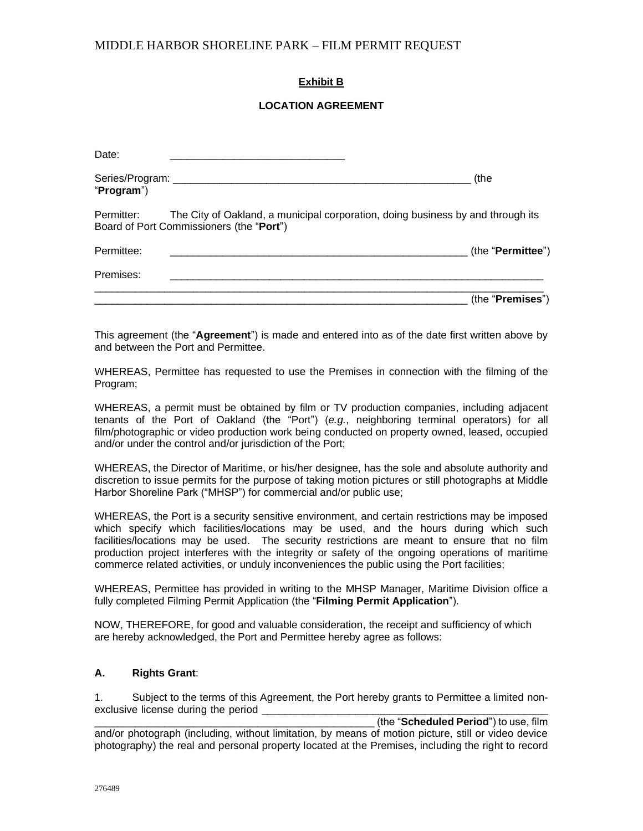### **Exhibit B**

#### **LOCATION AGREEMENT**

| Date:      |                                                                                                                             |                            |
|------------|-----------------------------------------------------------------------------------------------------------------------------|----------------------------|
| "Program") |                                                                                                                             | (the                       |
| Permitter: | The City of Oakland, a municipal corporation, doing business by and through its<br>Board of Port Commissioners (the "Port") |                            |
| Permittee: |                                                                                                                             | (the " <b>Permittee</b> ") |
| Premises:  |                                                                                                                             |                            |
|            |                                                                                                                             | (the " <b>Premises</b> ")  |

This agreement (the "**Agreement**") is made and entered into as of the date first written above by and between the Port and Permittee.

WHEREAS, Permittee has requested to use the Premises in connection with the filming of the Program;

WHEREAS, a permit must be obtained by film or TV production companies, including adjacent tenants of the Port of Oakland (the "Port") (*e.g.*, neighboring terminal operators) for all film/photographic or video production work being conducted on property owned, leased, occupied and/or under the control and/or jurisdiction of the Port;

WHEREAS, the Director of Maritime, or his/her designee, has the sole and absolute authority and discretion to issue permits for the purpose of taking motion pictures or still photographs at Middle Harbor Shoreline Park ("MHSP") for commercial and/or public use;

WHEREAS, the Port is a security sensitive environment, and certain restrictions may be imposed which specify which facilities/locations may be used, and the hours during which such facilities/locations may be used. The security restrictions are meant to ensure that no film production project interferes with the integrity or safety of the ongoing operations of maritime commerce related activities, or unduly inconveniences the public using the Port facilities;

WHEREAS, Permittee has provided in writing to the MHSP Manager, Maritime Division office a fully completed Filming Permit Application (the "**Filming Permit Application**").

NOW, THEREFORE, for good and valuable consideration, the receipt and sufficiency of which are hereby acknowledged, the Port and Permittee hereby agree as follows:

#### **A. Rights Grant**:

1. Subject to the terms of this Agreement, the Port hereby grants to Permittee a limited nonexclusive license during the period

\_\_\_\_\_\_\_\_\_\_\_\_\_\_\_\_\_\_\_\_\_\_\_\_\_\_\_\_\_\_\_\_\_\_\_\_\_\_\_\_\_\_\_\_\_\_\_\_ (the "**Scheduled Period**") to use, film and/or photograph (including, without limitation, by means of motion picture, still or video device photography) the real and personal property located at the Premises, including the right to record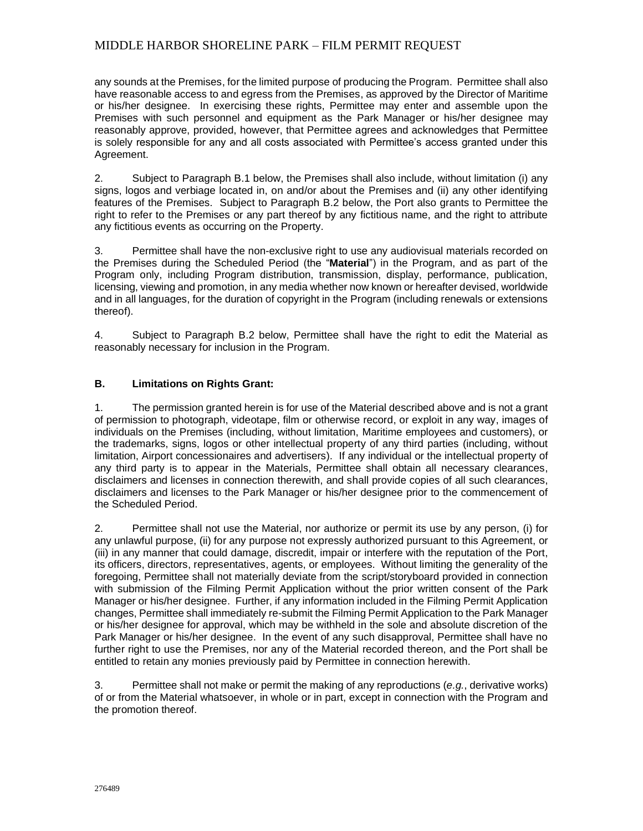any sounds at the Premises, for the limited purpose of producing the Program. Permittee shall also have reasonable access to and egress from the Premises, as approved by the Director of Maritime or his/her designee. In exercising these rights, Permittee may enter and assemble upon the Premises with such personnel and equipment as the Park Manager or his/her designee may reasonably approve, provided, however, that Permittee agrees and acknowledges that Permittee is solely responsible for any and all costs associated with Permittee's access granted under this Agreement.

2. Subject to Paragraph B.1 below, the Premises shall also include, without limitation (i) any signs, logos and verbiage located in, on and/or about the Premises and (ii) any other identifying features of the Premises. Subject to Paragraph B.2 below, the Port also grants to Permittee the right to refer to the Premises or any part thereof by any fictitious name, and the right to attribute any fictitious events as occurring on the Property.

3. Permittee shall have the non-exclusive right to use any audiovisual materials recorded on the Premises during the Scheduled Period (the "**Material**") in the Program, and as part of the Program only, including Program distribution, transmission, display, performance, publication, licensing, viewing and promotion, in any media whether now known or hereafter devised, worldwide and in all languages, for the duration of copyright in the Program (including renewals or extensions thereof).

4. Subject to Paragraph B.2 below, Permittee shall have the right to edit the Material as reasonably necessary for inclusion in the Program.

#### **B. Limitations on Rights Grant:**

1. The permission granted herein is for use of the Material described above and is not a grant of permission to photograph, videotape, film or otherwise record, or exploit in any way, images of individuals on the Premises (including, without limitation, Maritime employees and customers), or the trademarks, signs, logos or other intellectual property of any third parties (including, without limitation, Airport concessionaires and advertisers). If any individual or the intellectual property of any third party is to appear in the Materials, Permittee shall obtain all necessary clearances, disclaimers and licenses in connection therewith, and shall provide copies of all such clearances, disclaimers and licenses to the Park Manager or his/her designee prior to the commencement of the Scheduled Period.

2. Permittee shall not use the Material, nor authorize or permit its use by any person, (i) for any unlawful purpose, (ii) for any purpose not expressly authorized pursuant to this Agreement, or (iii) in any manner that could damage, discredit, impair or interfere with the reputation of the Port, its officers, directors, representatives, agents, or employees. Without limiting the generality of the foregoing, Permittee shall not materially deviate from the script/storyboard provided in connection with submission of the Filming Permit Application without the prior written consent of the Park Manager or his/her designee. Further, if any information included in the Filming Permit Application changes, Permittee shall immediately re-submit the Filming Permit Application to the Park Manager or his/her designee for approval, which may be withheld in the sole and absolute discretion of the Park Manager or his/her designee. In the event of any such disapproval, Permittee shall have no further right to use the Premises, nor any of the Material recorded thereon, and the Port shall be entitled to retain any monies previously paid by Permittee in connection herewith.

3. Permittee shall not make or permit the making of any reproductions (*e.g.*, derivative works) of or from the Material whatsoever, in whole or in part, except in connection with the Program and the promotion thereof.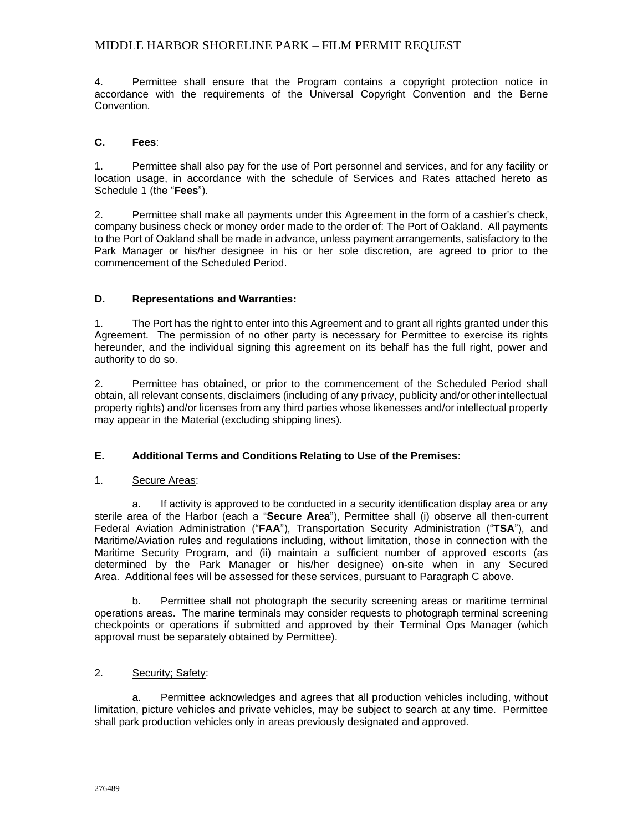4. Permittee shall ensure that the Program contains a copyright protection notice in accordance with the requirements of the Universal Copyright Convention and the Berne Convention.

#### **C. Fees**:

1. Permittee shall also pay for the use of Port personnel and services, and for any facility or location usage, in accordance with the schedule of Services and Rates attached hereto as Schedule 1 (the "**Fees**").

2. Permittee shall make all payments under this Agreement in the form of a cashier's check, company business check or money order made to the order of: The Port of Oakland. All payments to the Port of Oakland shall be made in advance, unless payment arrangements, satisfactory to the Park Manager or his/her designee in his or her sole discretion, are agreed to prior to the commencement of the Scheduled Period.

#### **D. Representations and Warranties:**

1. The Port has the right to enter into this Agreement and to grant all rights granted under this Agreement. The permission of no other party is necessary for Permittee to exercise its rights hereunder, and the individual signing this agreement on its behalf has the full right, power and authority to do so.

2. Permittee has obtained, or prior to the commencement of the Scheduled Period shall obtain, all relevant consents, disclaimers (including of any privacy, publicity and/or other intellectual property rights) and/or licenses from any third parties whose likenesses and/or intellectual property may appear in the Material (excluding shipping lines).

#### **E. Additional Terms and Conditions Relating to Use of the Premises:**

#### 1. Secure Areas:

a. If activity is approved to be conducted in a security identification display area or any sterile area of the Harbor (each a "**Secure Area**"), Permittee shall (i) observe all then-current Federal Aviation Administration ("**FAA**"), Transportation Security Administration ("**TSA**"), and Maritime/Aviation rules and regulations including, without limitation, those in connection with the Maritime Security Program, and (ii) maintain a sufficient number of approved escorts (as determined by the Park Manager or his/her designee) on-site when in any Secured Area. Additional fees will be assessed for these services, pursuant to Paragraph C above.

b. Permittee shall not photograph the security screening areas or maritime terminal operations areas. The marine terminals may consider requests to photograph terminal screening checkpoints or operations if submitted and approved by their Terminal Ops Manager (which approval must be separately obtained by Permittee).

#### 2. Security; Safety:

a. Permittee acknowledges and agrees that all production vehicles including, without limitation, picture vehicles and private vehicles, may be subject to search at any time. Permittee shall park production vehicles only in areas previously designated and approved.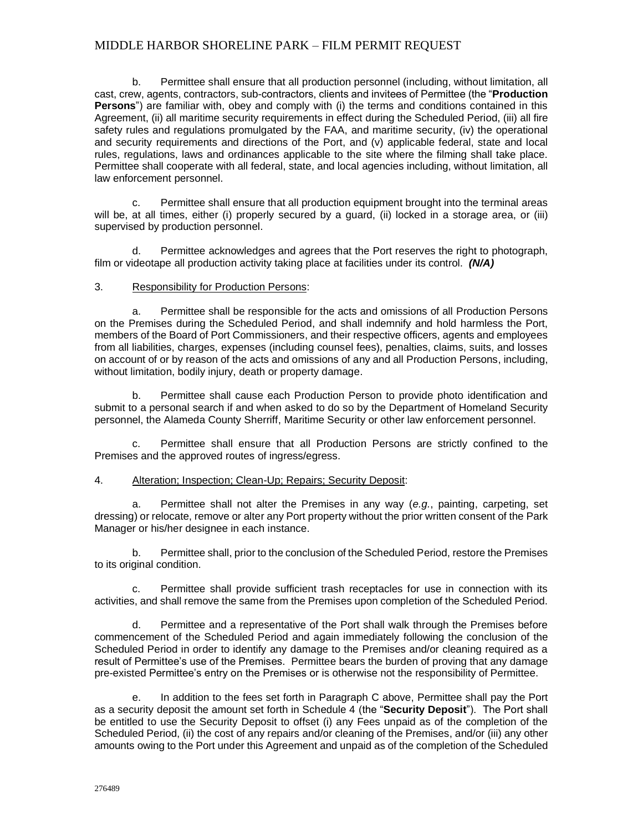b. Permittee shall ensure that all production personnel (including, without limitation, all cast, crew, agents, contractors, sub-contractors, clients and invitees of Permittee (the "**Production Persons**") are familiar with, obey and comply with (i) the terms and conditions contained in this Agreement, (ii) all maritime security requirements in effect during the Scheduled Period, (iii) all fire safety rules and regulations promulgated by the FAA, and maritime security, (iv) the operational and security requirements and directions of the Port, and (v) applicable federal, state and local rules, regulations, laws and ordinances applicable to the site where the filming shall take place. Permittee shall cooperate with all federal, state, and local agencies including, without limitation, all law enforcement personnel.

c. Permittee shall ensure that all production equipment brought into the terminal areas will be, at all times, either (i) properly secured by a guard, (ii) locked in a storage area, or (iii) supervised by production personnel.

d. Permittee acknowledges and agrees that the Port reserves the right to photograph, film or videotape all production activity taking place at facilities under its control. *(N/A)*

#### 3. Responsibility for Production Persons:

a. Permittee shall be responsible for the acts and omissions of all Production Persons on the Premises during the Scheduled Period, and shall indemnify and hold harmless the Port, members of the Board of Port Commissioners, and their respective officers, agents and employees from all liabilities, charges, expenses (including counsel fees), penalties, claims, suits, and losses on account of or by reason of the acts and omissions of any and all Production Persons, including, without limitation, bodily injury, death or property damage.

b. Permittee shall cause each Production Person to provide photo identification and submit to a personal search if and when asked to do so by the Department of Homeland Security personnel, the Alameda County Sherriff, Maritime Security or other law enforcement personnel.

c. Permittee shall ensure that all Production Persons are strictly confined to the Premises and the approved routes of ingress/egress.

#### 4. Alteration; Inspection; Clean-Up; Repairs; Security Deposit:

a. Permittee shall not alter the Premises in any way (*e.g.*, painting, carpeting, set dressing) or relocate, remove or alter any Port property without the prior written consent of the Park Manager or his/her designee in each instance.

b. Permittee shall, prior to the conclusion of the Scheduled Period, restore the Premises to its original condition.

c. Permittee shall provide sufficient trash receptacles for use in connection with its activities, and shall remove the same from the Premises upon completion of the Scheduled Period.

d. Permittee and a representative of the Port shall walk through the Premises before commencement of the Scheduled Period and again immediately following the conclusion of the Scheduled Period in order to identify any damage to the Premises and/or cleaning required as a result of Permittee's use of the Premises. Permittee bears the burden of proving that any damage pre-existed Permittee's entry on the Premises or is otherwise not the responsibility of Permittee.

e. In addition to the fees set forth in Paragraph C above, Permittee shall pay the Port as a security deposit the amount set forth in Schedule 4 (the "**Security Deposit**"). The Port shall be entitled to use the Security Deposit to offset (i) any Fees unpaid as of the completion of the Scheduled Period, (ii) the cost of any repairs and/or cleaning of the Premises, and/or (iii) any other amounts owing to the Port under this Agreement and unpaid as of the completion of the Scheduled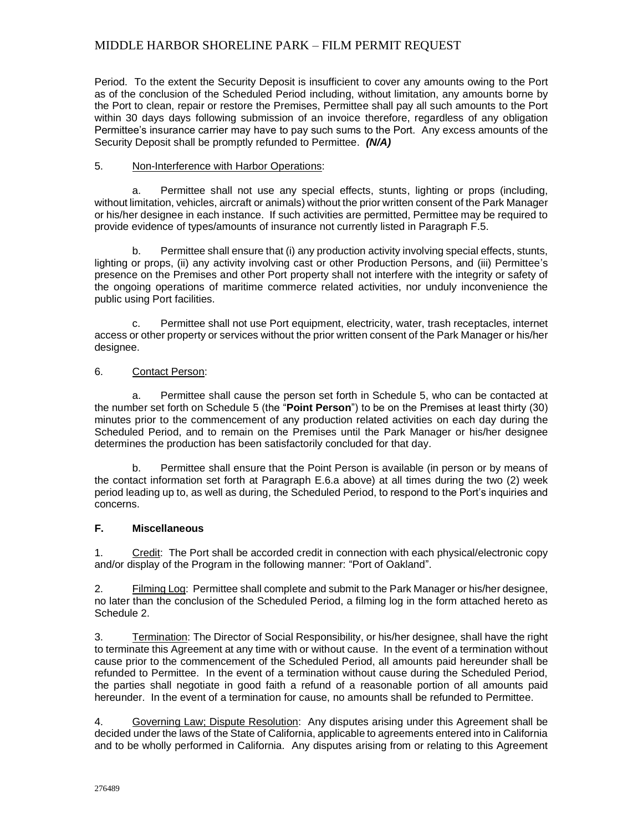Period. To the extent the Security Deposit is insufficient to cover any amounts owing to the Port as of the conclusion of the Scheduled Period including, without limitation, any amounts borne by the Port to clean, repair or restore the Premises, Permittee shall pay all such amounts to the Port within 30 days days following submission of an invoice therefore, regardless of any obligation Permittee's insurance carrier may have to pay such sums to the Port. Any excess amounts of the Security Deposit shall be promptly refunded to Permittee. *(N/A)*

#### 5. Non-Interference with Harbor Operations:

a. Permittee shall not use any special effects, stunts, lighting or props (including, without limitation, vehicles, aircraft or animals) without the prior written consent of the Park Manager or his/her designee in each instance. If such activities are permitted, Permittee may be required to provide evidence of types/amounts of insurance not currently listed in Paragraph F.5.

b. Permittee shall ensure that (i) any production activity involving special effects, stunts, lighting or props, (ii) any activity involving cast or other Production Persons, and (iii) Permittee's presence on the Premises and other Port property shall not interfere with the integrity or safety of the ongoing operations of maritime commerce related activities, nor unduly inconvenience the public using Port facilities.

c. Permittee shall not use Port equipment, electricity, water, trash receptacles, internet access or other property or services without the prior written consent of the Park Manager or his/her designee.

#### 6. Contact Person:

a. Permittee shall cause the person set forth in Schedule 5, who can be contacted at the number set forth on Schedule 5 (the "**Point Person**") to be on the Premises at least thirty (30) minutes prior to the commencement of any production related activities on each day during the Scheduled Period, and to remain on the Premises until the Park Manager or his/her designee determines the production has been satisfactorily concluded for that day.

b. Permittee shall ensure that the Point Person is available (in person or by means of the contact information set forth at Paragraph E.6.a above) at all times during the two (2) week period leading up to, as well as during, the Scheduled Period, to respond to the Port's inquiries and concerns.

#### **F. Miscellaneous**

1. Credit:The Port shall be accorded credit in connection with each physical/electronic copy and/or display of the Program in the following manner: "Port of Oakland".

2. Filming Log: Permittee shall complete and submit to the Park Manager or his/her designee, no later than the conclusion of the Scheduled Period, a filming log in the form attached hereto as Schedule 2.

3. Termination: The Director of Social Responsibility, or his/her designee, shall have the right to terminate this Agreement at any time with or without cause. In the event of a termination without cause prior to the commencement of the Scheduled Period, all amounts paid hereunder shall be refunded to Permittee. In the event of a termination without cause during the Scheduled Period, the parties shall negotiate in good faith a refund of a reasonable portion of all amounts paid hereunder. In the event of a termination for cause, no amounts shall be refunded to Permittee.

4. Governing Law; Dispute Resolution: Any disputes arising under this Agreement shall be decided under the laws of the State of California, applicable to agreements entered into in California and to be wholly performed in California. Any disputes arising from or relating to this Agreement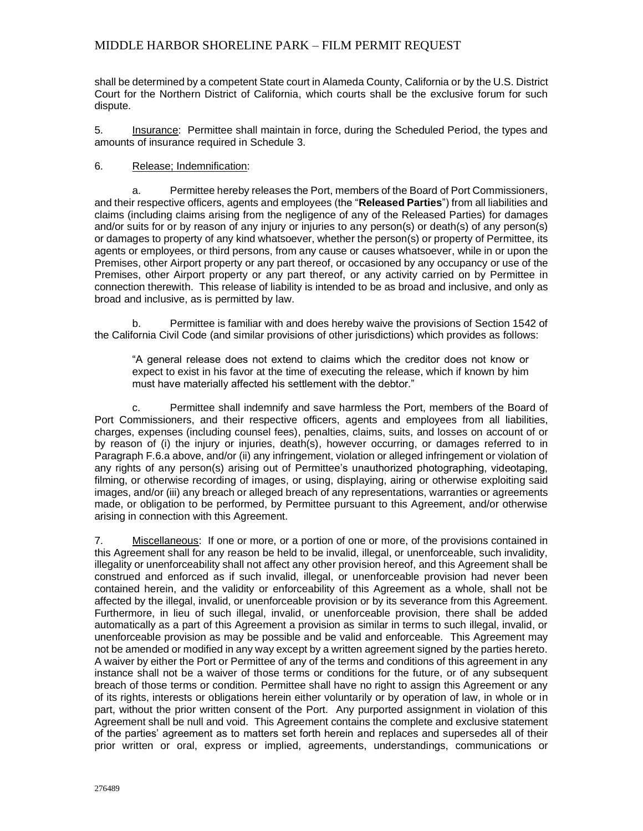shall be determined by a competent State court in Alameda County, California or by the U.S. District Court for the Northern District of California, which courts shall be the exclusive forum for such dispute.

5. Insurance: Permittee shall maintain in force, during the Scheduled Period, the types and amounts of insurance required in Schedule 3.

#### 6. Release; Indemnification:

a. Permittee hereby releases the Port, members of the Board of Port Commissioners, and their respective officers, agents and employees (the "**Released Parties**") from all liabilities and claims (including claims arising from the negligence of any of the Released Parties) for damages and/or suits for or by reason of any injury or injuries to any person(s) or death(s) of any person(s) or damages to property of any kind whatsoever, whether the person(s) or property of Permittee, its agents or employees, or third persons, from any cause or causes whatsoever, while in or upon the Premises, other Airport property or any part thereof, or occasioned by any occupancy or use of the Premises, other Airport property or any part thereof, or any activity carried on by Permittee in connection therewith. This release of liability is intended to be as broad and inclusive, and only as broad and inclusive, as is permitted by law.

b. Permittee is familiar with and does hereby waive the provisions of Section 1542 of the California Civil Code (and similar provisions of other jurisdictions) which provides as follows:

"A general release does not extend to claims which the creditor does not know or expect to exist in his favor at the time of executing the release, which if known by him must have materially affected his settlement with the debtor."

c. Permittee shall indemnify and save harmless the Port, members of the Board of Port Commissioners, and their respective officers, agents and employees from all liabilities, charges, expenses (including counsel fees), penalties, claims, suits, and losses on account of or by reason of (i) the injury or injuries, death(s), however occurring, or damages referred to in Paragraph F.6.a above, and/or (ii) any infringement, violation or alleged infringement or violation of any rights of any person(s) arising out of Permittee's unauthorized photographing, videotaping, filming, or otherwise recording of images, or using, displaying, airing or otherwise exploiting said images, and/or (iii) any breach or alleged breach of any representations, warranties or agreements made, or obligation to be performed, by Permittee pursuant to this Agreement, and/or otherwise arising in connection with this Agreement.

7. Miscellaneous: If one or more, or a portion of one or more, of the provisions contained in this Agreement shall for any reason be held to be invalid, illegal, or unenforceable, such invalidity, illegality or unenforceability shall not affect any other provision hereof, and this Agreement shall be construed and enforced as if such invalid, illegal, or unenforceable provision had never been contained herein, and the validity or enforceability of this Agreement as a whole, shall not be affected by the illegal, invalid, or unenforceable provision or by its severance from this Agreement. Furthermore, in lieu of such illegal, invalid, or unenforceable provision, there shall be added automatically as a part of this Agreement a provision as similar in terms to such illegal, invalid, or unenforceable provision as may be possible and be valid and enforceable. This Agreement may not be amended or modified in any way except by a written agreement signed by the parties hereto. A waiver by either the Port or Permittee of any of the terms and conditions of this agreement in any instance shall not be a waiver of those terms or conditions for the future, or of any subsequent breach of those terms or condition. Permittee shall have no right to assign this Agreement or any of its rights, interests or obligations herein either voluntarily or by operation of law, in whole or in part, without the prior written consent of the Port. Any purported assignment in violation of this Agreement shall be null and void. This Agreement contains the complete and exclusive statement of the parties' agreement as to matters set forth herein and replaces and supersedes all of their prior written or oral, express or implied, agreements, understandings, communications or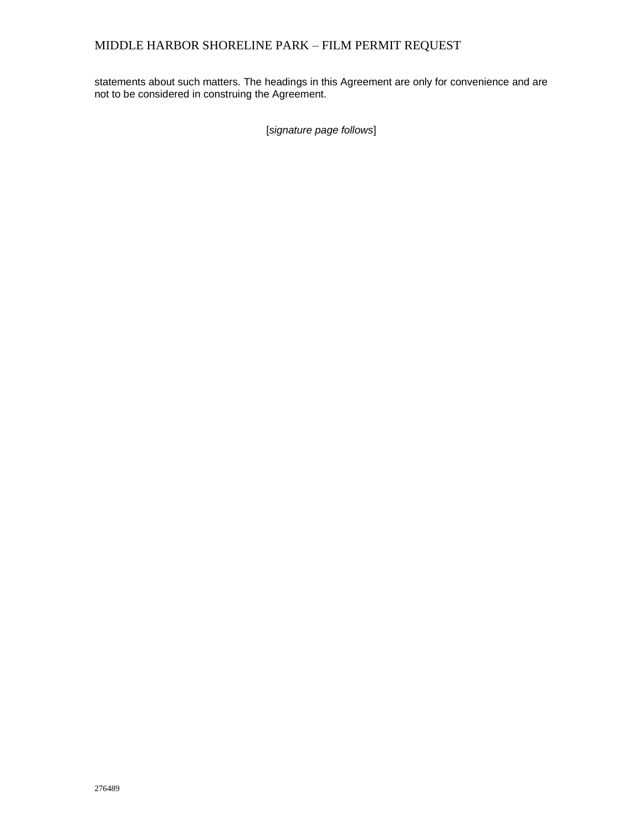statements about such matters. The headings in this Agreement are only for convenience and are not to be considered in construing the Agreement.

[*signature page follows*]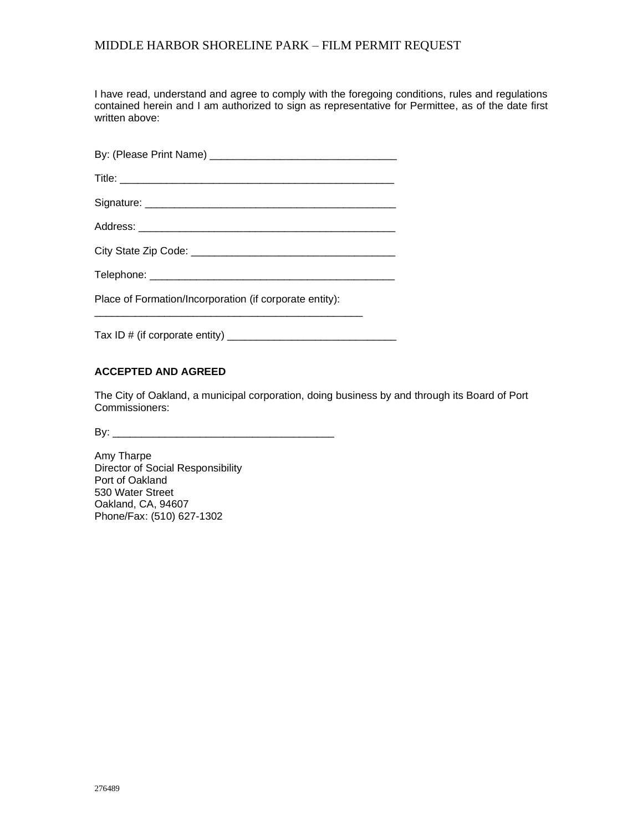I have read, understand and agree to comply with the foregoing conditions, rules and regulations contained herein and I am authorized to sign as representative for Permittee, as of the date first written above:

| Place of Formation/Incorporation (if corporate entity): |
|---------------------------------------------------------|

Tax ID # (if corporate entity) \_\_\_\_\_\_\_\_\_\_\_\_\_\_\_\_\_\_\_\_\_\_\_\_\_\_\_\_\_

\_\_\_\_\_\_\_\_\_\_\_\_\_\_\_\_\_\_\_\_\_\_\_\_\_\_\_\_\_\_\_\_\_\_\_\_\_\_\_\_\_\_\_\_\_\_

### **ACCEPTED AND AGREED**

The City of Oakland, a municipal corporation, doing business by and through its Board of Port Commissioners:

By: \_\_\_\_\_\_\_\_\_\_\_\_\_\_\_\_\_\_\_\_\_\_\_\_\_\_\_\_\_\_\_\_\_\_\_\_\_\_

Amy Tharpe Director of Social Responsibility Port of Oakland 530 Water Street Oakland, CA, 94607 Phone/Fax: (510) 627-1302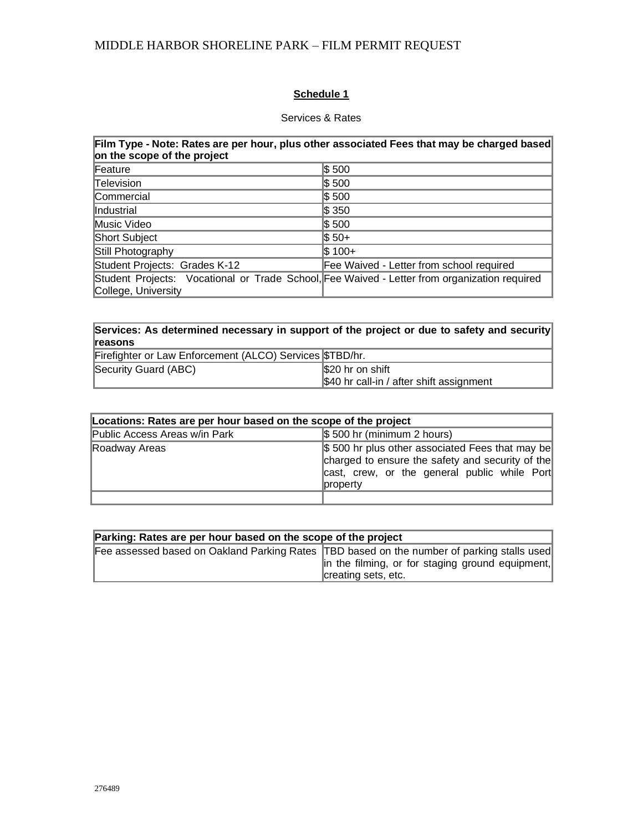## **Schedule 1**

### Services & Rates

| Film Type - Note: Rates are per hour, plus other associated Fees that may be charged based<br>on the scope of the project |                                          |  |  |
|---------------------------------------------------------------------------------------------------------------------------|------------------------------------------|--|--|
| Feature                                                                                                                   | \$500                                    |  |  |
| Television                                                                                                                | \$500                                    |  |  |
| Commercial                                                                                                                | \$500                                    |  |  |
| Industrial                                                                                                                | $\$\,350$                                |  |  |
| Music Video                                                                                                               | \$500                                    |  |  |
| Short Subject                                                                                                             | $$50+$                                   |  |  |
| Still Photography                                                                                                         | $$100+$                                  |  |  |
| Student Projects: Grades K-12                                                                                             | Fee Waived - Letter from school required |  |  |
| Student Projects: Vocational or Trade School, Fee Waived - Letter from organization required<br>College, University       |                                          |  |  |

| Services: As determined necessary in support of the project or due to safety and security |                                          |  |  |
|-------------------------------------------------------------------------------------------|------------------------------------------|--|--|
| <b>reasons</b>                                                                            |                                          |  |  |
| Firefighter or Law Enforcement (ALCO) Services \$TBD/hr.                                  |                                          |  |  |
| Security Guard (ABC)                                                                      | \$20 hr on shift                         |  |  |
|                                                                                           | \$40 hr call-in / after shift assignment |  |  |

| Locations: Rates are per hour based on the scope of the project |                                                                                                                                                                  |  |  |
|-----------------------------------------------------------------|------------------------------------------------------------------------------------------------------------------------------------------------------------------|--|--|
| Public Access Areas w/in Park                                   | $$500$ hr (minimum 2 hours)                                                                                                                                      |  |  |
| Roadway Areas                                                   | \$500 hr plus other associated Fees that may be<br>charged to ensure the safety and security of the<br>cast, crew, or the general public while Port<br>∣propert∨ |  |  |
|                                                                 |                                                                                                                                                                  |  |  |

| Parking: Rates are per hour based on the scope of the project |                                                                                                                                                                         |  |  |  |
|---------------------------------------------------------------|-------------------------------------------------------------------------------------------------------------------------------------------------------------------------|--|--|--|
|                                                               | Fee assessed based on Oakland Parking Rates  TBD based on the number of parking stalls used <br>in the filming, or for staging ground equipment,<br>creating sets, etc. |  |  |  |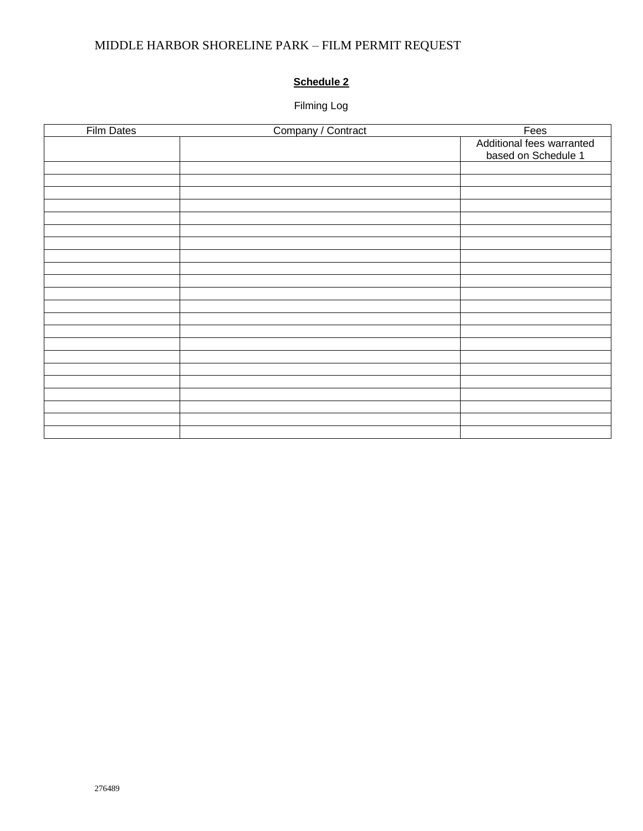# **Schedule 2**

# Filming Log

| <b>Film Dates</b> | Company / Contract | Fees                      |
|-------------------|--------------------|---------------------------|
|                   |                    | Additional fees warranted |
|                   |                    | based on Schedule 1       |
|                   |                    |                           |
|                   |                    |                           |
|                   |                    |                           |
|                   |                    |                           |
|                   |                    |                           |
|                   |                    |                           |
|                   |                    |                           |
|                   |                    |                           |
|                   |                    |                           |
|                   |                    |                           |
|                   |                    |                           |
|                   |                    |                           |
|                   |                    |                           |
|                   |                    |                           |
|                   |                    |                           |
|                   |                    |                           |
|                   |                    |                           |
|                   |                    |                           |
|                   |                    |                           |
|                   |                    |                           |
|                   |                    |                           |
|                   |                    |                           |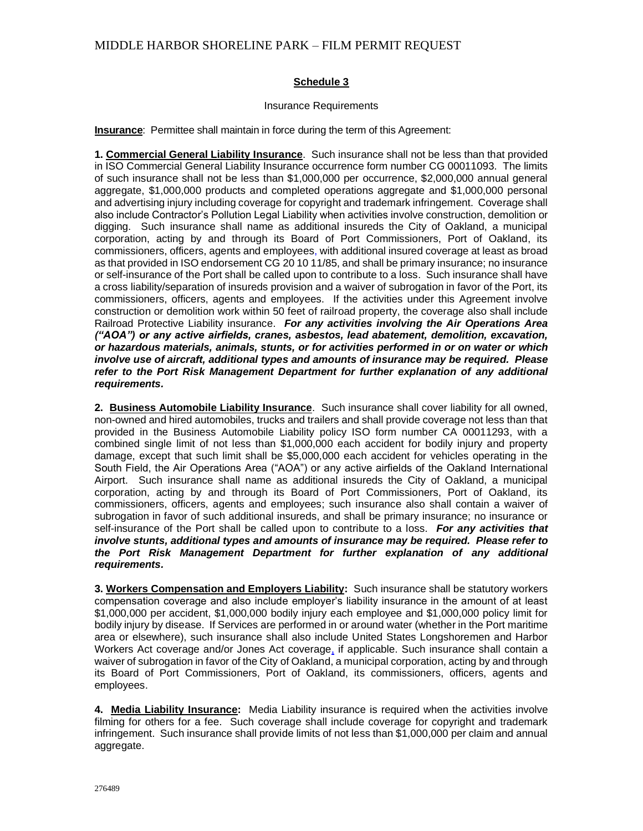#### **Schedule 3**

#### Insurance Requirements

**Insurance:** Permittee shall maintain in force during the term of this Agreement:

**1. Commercial General Liability Insurance**. Such insurance shall not be less than that provided in ISO Commercial General Liability Insurance occurrence form number CG 00011093. The limits of such insurance shall not be less than \$1,000,000 per occurrence, \$2,000,000 annual general aggregate, \$1,000,000 products and completed operations aggregate and \$1,000,000 personal and advertising injury including coverage for copyright and trademark infringement. Coverage shall also include Contractor's Pollution Legal Liability when activities involve construction, demolition or digging. Such insurance shall name as additional insureds the City of Oakland, a municipal corporation, acting by and through its Board of Port Commissioners, Port of Oakland, its commissioners, officers, agents and employees, with additional insured coverage at least as broad as that provided in ISO endorsement CG 20 10 11/85, and shall be primary insurance; no insurance or self-insurance of the Port shall be called upon to contribute to a loss. Such insurance shall have a cross liability/separation of insureds provision and a waiver of subrogation in favor of the Port, its commissioners, officers, agents and employees. If the activities under this Agreement involve construction or demolition work within 50 feet of railroad property, the coverage also shall include Railroad Protective Liability insurance. *For any activities involving the Air Operations Area ("AOA") or any active airfields, cranes, asbestos, lead abatement, demolition, excavation, or hazardous materials, animals, stunts, or for activities performed in or on water or which involve use of aircraft, additional types and amounts of insurance may be required. Please refer to the Port Risk Management Department for further explanation of any additional requirements.*

**2. Business Automobile Liability Insurance**. Such insurance shall cover liability for all owned, non-owned and hired automobiles, trucks and trailers and shall provide coverage not less than that provided in the Business Automobile Liability policy ISO form number CA 00011293, with a combined single limit of not less than \$1,000,000 each accident for bodily injury and property damage, except that such limit shall be \$5,000,000 each accident for vehicles operating in the South Field, the Air Operations Area ("AOA") or any active airfields of the Oakland International Airport. Such insurance shall name as additional insureds the City of Oakland, a municipal corporation, acting by and through its Board of Port Commissioners, Port of Oakland, its commissioners, officers, agents and employees; such insurance also shall contain a waiver of subrogation in favor of such additional insureds, and shall be primary insurance; no insurance or self-insurance of the Port shall be called upon to contribute to a loss. *For any activities that involve stunts, additional types and amounts of insurance may be required. Please refer to the Port Risk Management Department for further explanation of any additional requirements.*

**3. Workers Compensation and Employers Liability:** Such insurance shall be statutory workers compensation coverage and also include employer's liability insurance in the amount of at least \$1,000,000 per accident, \$1,000,000 bodily injury each employee and \$1,000,000 policy limit for bodily injury by disease. If Services are performed in or around water (whether in the Port maritime area or elsewhere), such insurance shall also include United States Longshoremen and Harbor Workers Act coverage and/or Jones Act coverage, if applicable. Such insurance shall contain a waiver of subrogation in favor of the City of Oakland, a municipal corporation, acting by and through its Board of Port Commissioners, Port of Oakland, its commissioners, officers, agents and employees.

**4. Media Liability Insurance:** Media Liability insurance is required when the activities involve filming for others for a fee. Such coverage shall include coverage for copyright and trademark infringement. Such insurance shall provide limits of not less than \$1,000,000 per claim and annual aggregate.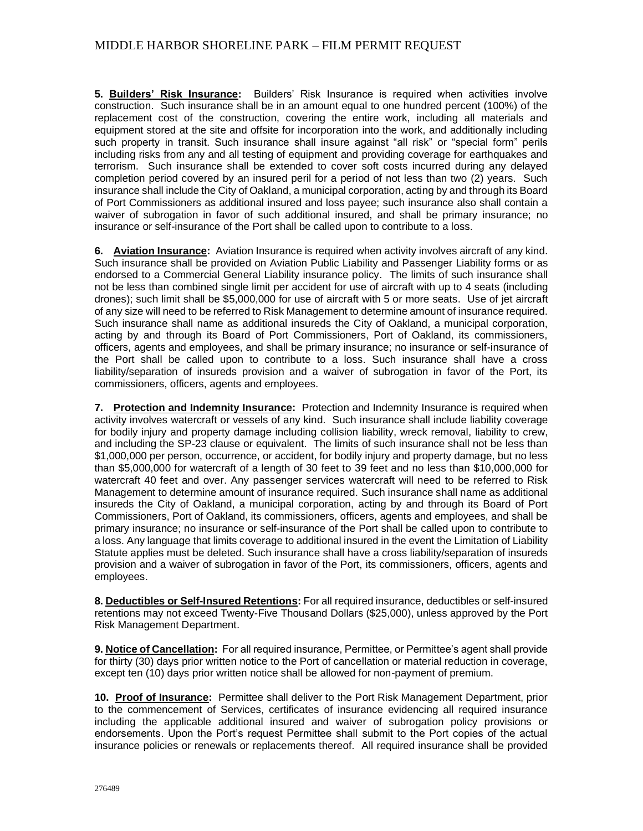**5. Builders' Risk Insurance:** Builders' Risk Insurance is required when activities involve construction. Such insurance shall be in an amount equal to one hundred percent (100%) of the replacement cost of the construction, covering the entire work, including all materials and equipment stored at the site and offsite for incorporation into the work, and additionally including such property in transit. Such insurance shall insure against "all risk" or "special form" perils including risks from any and all testing of equipment and providing coverage for earthquakes and terrorism. Such insurance shall be extended to cover soft costs incurred during any delayed completion period covered by an insured peril for a period of not less than two (2) years. Such insurance shall include the City of Oakland, a municipal corporation, acting by and through its Board of Port Commissioners as additional insured and loss payee; such insurance also shall contain a waiver of subrogation in favor of such additional insured, and shall be primary insurance; no insurance or self-insurance of the Port shall be called upon to contribute to a loss.

**6. Aviation Insurance:** Aviation Insurance is required when activity involves aircraft of any kind. Such insurance shall be provided on Aviation Public Liability and Passenger Liability forms or as endorsed to a Commercial General Liability insurance policy. The limits of such insurance shall not be less than combined single limit per accident for use of aircraft with up to 4 seats (including drones); such limit shall be \$5,000,000 for use of aircraft with 5 or more seats. Use of jet aircraft of any size will need to be referred to Risk Management to determine amount of insurance required. Such insurance shall name as additional insureds the City of Oakland, a municipal corporation, acting by and through its Board of Port Commissioners, Port of Oakland, its commissioners, officers, agents and employees, and shall be primary insurance; no insurance or self-insurance of the Port shall be called upon to contribute to a loss. Such insurance shall have a cross liability/separation of insureds provision and a waiver of subrogation in favor of the Port, its commissioners, officers, agents and employees.

**7. Protection and Indemnity Insurance:** Protection and Indemnity Insurance is required when activity involves watercraft or vessels of any kind. Such insurance shall include liability coverage for bodily injury and property damage including collision liability, wreck removal, liability to crew, and including the SP-23 clause or equivalent. The limits of such insurance shall not be less than \$1,000,000 per person, occurrence, or accident, for bodily injury and property damage, but no less than \$5,000,000 for watercraft of a length of 30 feet to 39 feet and no less than \$10,000,000 for watercraft 40 feet and over. Any passenger services watercraft will need to be referred to Risk Management to determine amount of insurance required. Such insurance shall name as additional insureds the City of Oakland, a municipal corporation, acting by and through its Board of Port Commissioners, Port of Oakland, its commissioners, officers, agents and employees, and shall be primary insurance; no insurance or self-insurance of the Port shall be called upon to contribute to a loss. Any language that limits coverage to additional insured in the event the Limitation of Liability Statute applies must be deleted. Such insurance shall have a cross liability/separation of insureds provision and a waiver of subrogation in favor of the Port, its commissioners, officers, agents and employees.

**8. Deductibles or Self-Insured Retentions:** For all required insurance, deductibles or self-insured retentions may not exceed Twenty-Five Thousand Dollars (\$25,000), unless approved by the Port Risk Management Department.

**9. Notice of Cancellation:** For all required insurance, Permittee, or Permittee's agent shall provide for thirty (30) days prior written notice to the Port of cancellation or material reduction in coverage, except ten (10) days prior written notice shall be allowed for non-payment of premium.

**10. Proof of Insurance:** Permittee shall deliver to the Port Risk Management Department, prior to the commencement of Services, certificates of insurance evidencing all required insurance including the applicable additional insured and waiver of subrogation policy provisions or endorsements. Upon the Port's request Permittee shall submit to the Port copies of the actual insurance policies or renewals or replacements thereof. All required insurance shall be provided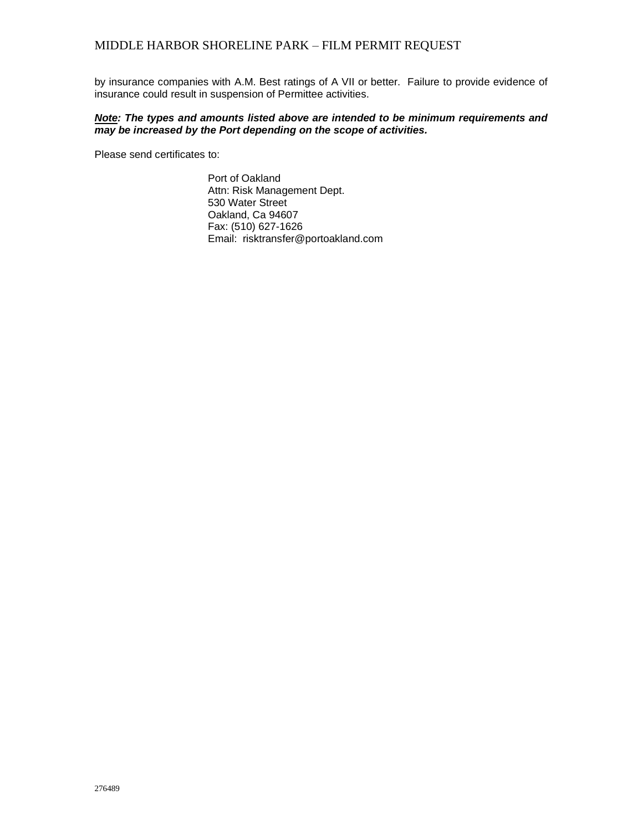by insurance companies with A.M. Best ratings of A VII or better. Failure to provide evidence of insurance could result in suspension of Permittee activities.

#### *Note: The types and amounts listed above are intended to be minimum requirements and may be increased by the Port depending on the scope of activities.*

Please send certificates to:

Port of Oakland Attn: Risk Management Dept. 530 Water Street Oakland, Ca 94607 Fax: (510) 627-1626 Email: risktransfer@portoakland.com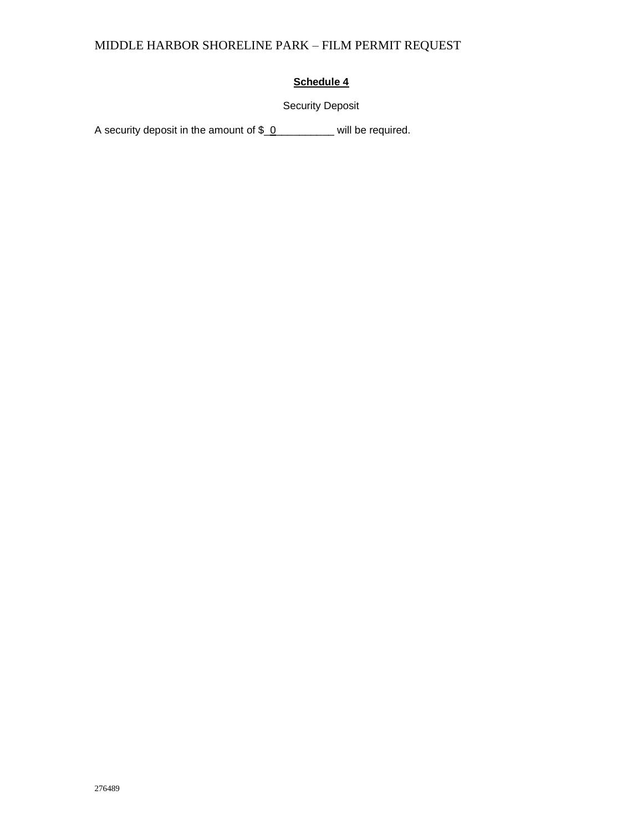### **Schedule 4**

## Security Deposit

A security deposit in the amount of \$\_0\_\_\_\_\_\_\_\_\_ will be required.